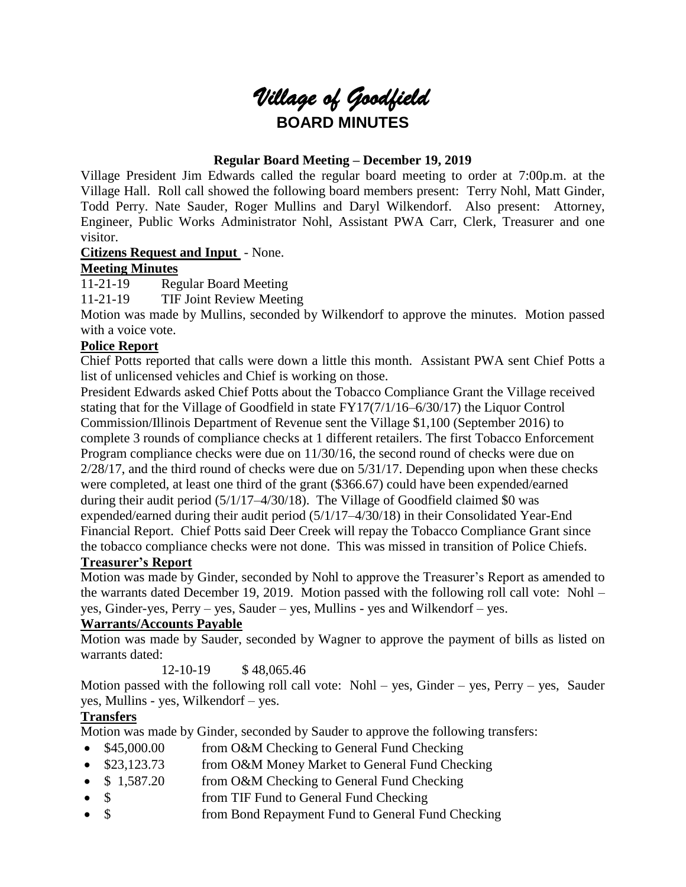# *Village of Goodfield* **BOARD MINUTES**

## **Regular Board Meeting – December 19, 2019**

Village President Jim Edwards called the regular board meeting to order at 7:00p.m. at the Village Hall. Roll call showed the following board members present: Terry Nohl, Matt Ginder, Todd Perry. Nate Sauder, Roger Mullins and Daryl Wilkendorf. Also present: Attorney, Engineer, Public Works Administrator Nohl, Assistant PWA Carr, Clerk, Treasurer and one visitor.

## **Citizens Request and Input** - None.

## **Meeting Minutes**

11-21-19 Regular Board Meeting

11-21-19 TIF Joint Review Meeting

Motion was made by Mullins, seconded by Wilkendorf to approve the minutes. Motion passed with a voice vote.

## **Police Report**

Chief Potts reported that calls were down a little this month. Assistant PWA sent Chief Potts a list of unlicensed vehicles and Chief is working on those.

President Edwards asked Chief Potts about the Tobacco Compliance Grant the Village received stating that for the Village of Goodfield in state FY17(7/1/16–6/30/17) the Liquor Control Commission/Illinois Department of Revenue sent the Village \$1,100 (September 2016) to complete 3 rounds of compliance checks at 1 different retailers. The first Tobacco Enforcement Program compliance checks were due on 11/30/16, the second round of checks were due on 2/28/17, and the third round of checks were due on 5/31/17. Depending upon when these checks were completed, at least one third of the grant (\$366.67) could have been expended/earned during their audit period (5/1/17–4/30/18). The Village of Goodfield claimed \$0 was expended/earned during their audit period (5/1/17–4/30/18) in their Consolidated Year-End Financial Report. Chief Potts said Deer Creek will repay the Tobacco Compliance Grant since the tobacco compliance checks were not done. This was missed in transition of Police Chiefs.

# **Treasurer's Report**

Motion was made by Ginder, seconded by Nohl to approve the Treasurer's Report as amended to the warrants dated December 19, 2019. Motion passed with the following roll call vote: Nohl – yes, Ginder-yes, Perry – yes, Sauder – yes, Mullins - yes and Wilkendorf – yes.

# **Warrants/Accounts Payable**

Motion was made by Sauder, seconded by Wagner to approve the payment of bills as listed on warrants dated:

12-10-19 \$48,065.46

Motion passed with the following roll call vote: Nohl – yes, Ginder – yes, Perry – yes, Sauder yes, Mullins - yes, Wilkendorf – yes.

# **Transfers**

Motion was made by Ginder, seconded by Sauder to approve the following transfers:

- \$45,000.00 from O&M Checking to General Fund Checking
- \$23,123.73 from O&M Money Market to General Fund Checking
- \$1,587.20 from O&M Checking to General Fund Checking
- \$ from TIF Fund to General Fund Checking
- \$ from Bond Repayment Fund to General Fund Checking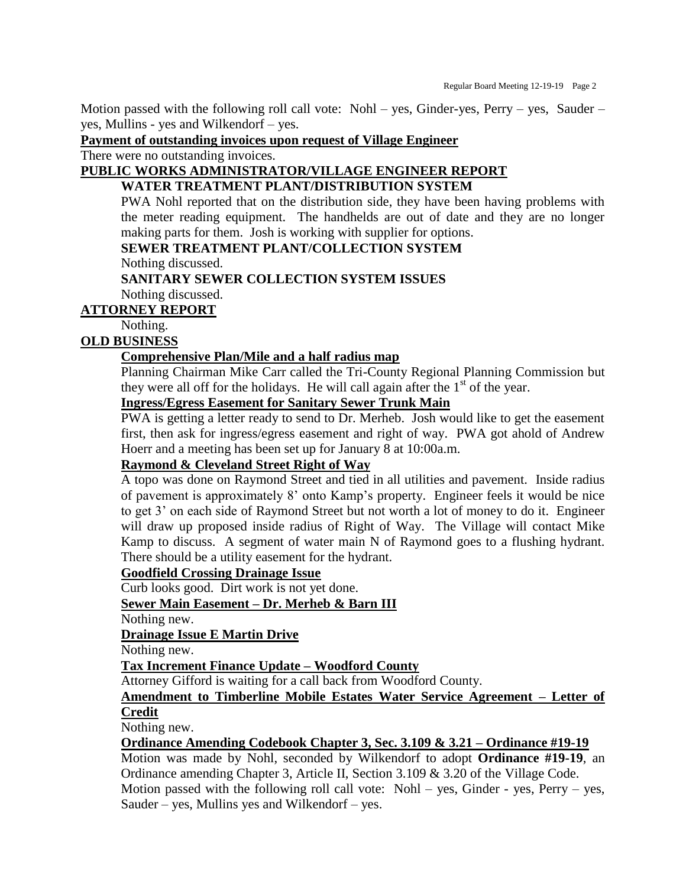Motion passed with the following roll call vote: Nohl – yes, Ginder-yes, Perry – yes, Sauder – yes, Mullins - yes and Wilkendorf – yes.

**Payment of outstanding invoices upon request of Village Engineer**

There were no outstanding invoices.

# **PUBLIC WORKS ADMINISTRATOR/VILLAGE ENGINEER REPORT**

**WATER TREATMENT PLANT/DISTRIBUTION SYSTEM**

PWA Nohl reported that on the distribution side, they have been having problems with the meter reading equipment. The handhelds are out of date and they are no longer making parts for them. Josh is working with supplier for options.

**SEWER TREATMENT PLANT/COLLECTION SYSTEM**

Nothing discussed.

**SANITARY SEWER COLLECTION SYSTEM ISSUES** Nothing discussed.

**ATTORNEY REPORT**

Nothing.

## **OLD BUSINESS**

#### **Comprehensive Plan/Mile and a half radius map**

Planning Chairman Mike Carr called the Tri-County Regional Planning Commission but they were all off for the holidays. He will call again after the  $1<sup>st</sup>$  of the year.

# **Ingress/Egress Easement for Sanitary Sewer Trunk Main**

PWA is getting a letter ready to send to Dr. Merheb. Josh would like to get the easement first, then ask for ingress/egress easement and right of way. PWA got ahold of Andrew Hoerr and a meeting has been set up for January 8 at 10:00a.m.

## **Raymond & Cleveland Street Right of Way**

A topo was done on Raymond Street and tied in all utilities and pavement. Inside radius of pavement is approximately 8' onto Kamp's property. Engineer feels it would be nice to get 3' on each side of Raymond Street but not worth a lot of money to do it. Engineer will draw up proposed inside radius of Right of Way. The Village will contact Mike Kamp to discuss. A segment of water main N of Raymond goes to a flushing hydrant. There should be a utility easement for the hydrant.

#### **Goodfield Crossing Drainage Issue**

Curb looks good. Dirt work is not yet done.

**Sewer Main Easement – Dr. Merheb & Barn III**

Nothing new.

**Drainage Issue E Martin Drive**

Nothing new.

**Tax Increment Finance Update – Woodford County**

Attorney Gifford is waiting for a call back from Woodford County.

#### **Amendment to Timberline Mobile Estates Water Service Agreement – Letter of Credit**

Nothing new.

**Ordinance Amending Codebook Chapter 3, Sec. 3.109 & 3.21 – Ordinance #19-19**

Motion was made by Nohl, seconded by Wilkendorf to adopt **Ordinance #19-19**, an Ordinance amending Chapter 3, Article II, Section 3.109 & 3.20 of the Village Code. Motion passed with the following roll call vote: Nohl – yes, Ginder - yes, Perry – yes, Sauder – yes, Mullins yes and Wilkendorf – yes.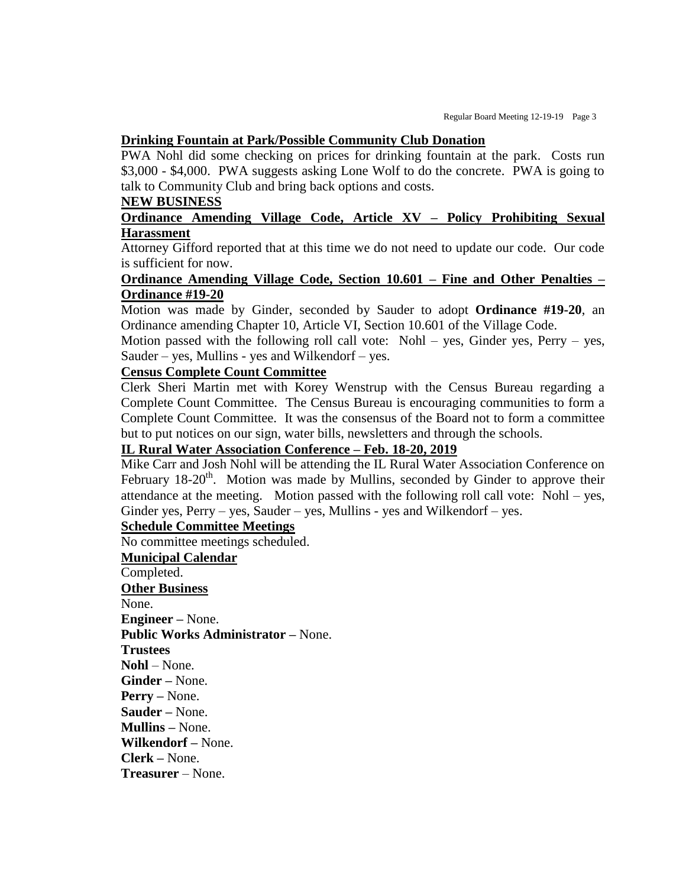#### **Drinking Fountain at Park/Possible Community Club Donation**

PWA Nohl did some checking on prices for drinking fountain at the park. Costs run \$3,000 - \$4,000. PWA suggests asking Lone Wolf to do the concrete. PWA is going to talk to Community Club and bring back options and costs.

#### **NEW BUSINESS**

#### **Ordinance Amending Village Code, Article XV – Policy Prohibiting Sexual Harassment**

Attorney Gifford reported that at this time we do not need to update our code. Our code is sufficient for now.

#### **Ordinance Amending Village Code, Section 10.601 – Fine and Other Penalties – Ordinance #19-20**

Motion was made by Ginder, seconded by Sauder to adopt **Ordinance #19-20**, an Ordinance amending Chapter 10, Article VI, Section 10.601 of the Village Code.

Motion passed with the following roll call vote: Nohl – yes, Ginder yes, Perry – yes, Sauder – yes, Mullins - yes and Wilkendorf – yes.

#### **Census Complete Count Committee**

Clerk Sheri Martin met with Korey Wenstrup with the Census Bureau regarding a Complete Count Committee. The Census Bureau is encouraging communities to form a Complete Count Committee. It was the consensus of the Board not to form a committee but to put notices on our sign, water bills, newsletters and through the schools.

#### **IL Rural Water Association Conference – Feb. 18-20, 2019**

Mike Carr and Josh Nohl will be attending the IL Rural Water Association Conference on February  $18{\text -}20^{\text{th}}$ . Motion was made by Mullins, seconded by Ginder to approve their attendance at the meeting. Motion passed with the following roll call vote: Nohl – yes, Ginder yes,  $Perry - yes$ , Sauder – yes, Mullins - yes and Wilkendorf – yes.

#### **Schedule Committee Meetings**

No committee meetings scheduled.

#### **Municipal Calendar**

Completed. **Other Business** None. **Engineer –** None. **Public Works Administrator –** None. **Trustees Nohl** – None. **Ginder –** None. **Perry –** None. **Sauder –** None. **Mullins –** None. **Wilkendorf –** None. **Clerk –** None. **Treasurer** – None.